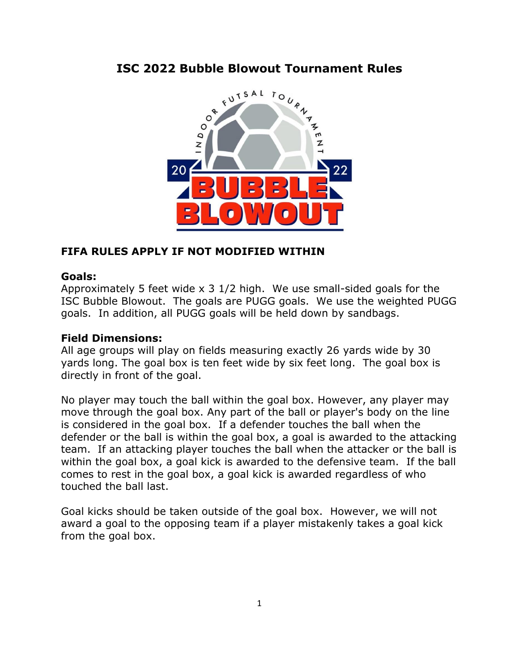# **ISC 2022 Bubble Blowout Tournament Rules**



## **FIFA RULES APPLY IF NOT MODIFIED WITHIN**

#### **Goals:**

Approximately 5 feet wide x 3 1/2 high. We use small-sided goals for the ISC Bubble Blowout. The goals are PUGG goals. We use the weighted PUGG goals. In addition, all PUGG goals will be held down by sandbags.

#### **Field Dimensions:**

All age groups will play on fields measuring exactly 26 yards wide by 30 yards long. The goal box is ten feet wide by six feet long. The goal box is directly in front of the goal.

No player may touch the ball within the goal box. However, any player may move through the goal box. Any part of the ball or player's body on the line is considered in the goal box. If a defender touches the ball when the defender or the ball is within the goal box, a goal is awarded to the attacking team. If an attacking player touches the ball when the attacker or the ball is within the goal box, a goal kick is awarded to the defensive team. If the ball comes to rest in the goal box, a goal kick is awarded regardless of who touched the ball last.

Goal kicks should be taken outside of the goal box. However, we will not award a goal to the opposing team if a player mistakenly takes a goal kick from the goal box.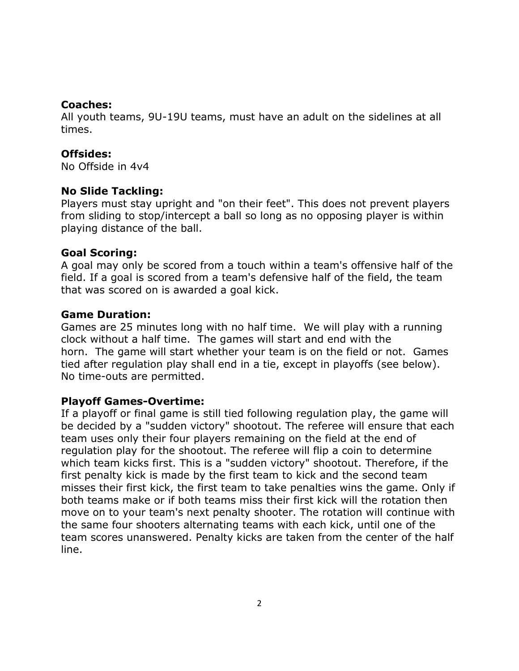### **Coaches:**

All youth teams, 9U-19U teams, must have an adult on the sidelines at all times.

## **Offsides:**

No Offside in 4v4

## **No Slide Tackling:**

Players must stay upright and "on their feet". This does not prevent players from sliding to stop/intercept a ball so long as no opposing player is within playing distance of the ball.

## **Goal Scoring:**

A goal may only be scored from a touch within a team's offensive half of the field. If a goal is scored from a team's defensive half of the field, the team that was scored on is awarded a goal kick.

## **Game Duration:**

Games are 25 minutes long with no half time. We will play with a running clock without a half time. The games will start and end with the horn. The game will start whether your team is on the field or not. Games tied after regulation play shall end in a tie, except in playoffs (see below). No time-outs are permitted.

## **Playoff Games-Overtime:**

If a playoff or final game is still tied following regulation play, the game will be decided by a "sudden victory" shootout. The referee will ensure that each team uses only their four players remaining on the field at the end of regulation play for the shootout. The referee will flip a coin to determine which team kicks first. This is a "sudden victory" shootout. Therefore, if the first penalty kick is made by the first team to kick and the second team misses their first kick, the first team to take penalties wins the game. Only if both teams make or if both teams miss their first kick will the rotation then move on to your team's next penalty shooter. The rotation will continue with the same four shooters alternating teams with each kick, until one of the team scores unanswered. Penalty kicks are taken from the center of the half line.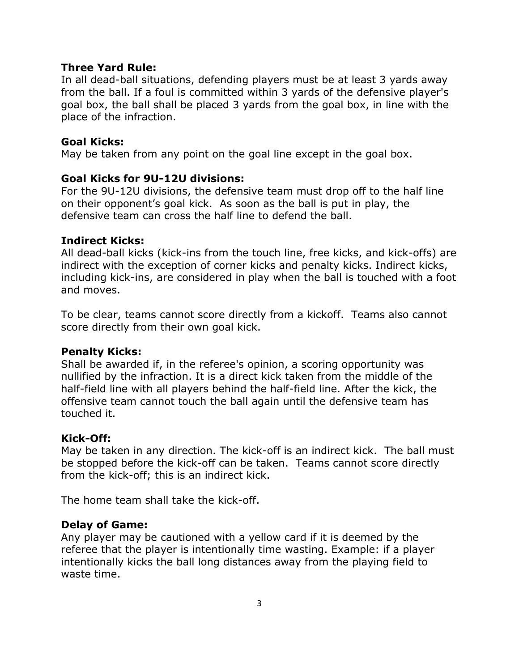### **Three Yard Rule:**

In all dead-ball situations, defending players must be at least 3 yards away from the ball. If a foul is committed within 3 yards of the defensive player's goal box, the ball shall be placed 3 yards from the goal box, in line with the place of the infraction.

## **Goal Kicks:**

May be taken from any point on the goal line except in the goal box.

## **Goal Kicks for 9U-12U divisions:**

For the 9U-12U divisions, the defensive team must drop off to the half line on their opponent's goal kick. As soon as the ball is put in play, the defensive team can cross the half line to defend the ball.

#### **Indirect Kicks:**

All dead-ball kicks (kick-ins from the touch line, free kicks, and kick-offs) are indirect with the exception of corner kicks and penalty kicks. Indirect kicks, including kick-ins, are considered in play when the ball is touched with a foot and moves.

To be clear, teams cannot score directly from a kickoff. Teams also cannot score directly from their own goal kick.

#### **Penalty Kicks:**

Shall be awarded if, in the referee's opinion, a scoring opportunity was nullified by the infraction. It is a direct kick taken from the middle of the half-field line with all players behind the half-field line. After the kick, the offensive team cannot touch the ball again until the defensive team has touched it.

## **Kick-Off:**

May be taken in any direction. The kick-off is an indirect kick. The ball must be stopped before the kick-off can be taken. Teams cannot score directly from the kick-off; this is an indirect kick.

The home team shall take the kick-off.

## **Delay of Game:**

Any player may be cautioned with a yellow card if it is deemed by the referee that the player is intentionally time wasting. Example: if a player intentionally kicks the ball long distances away from the playing field to waste time.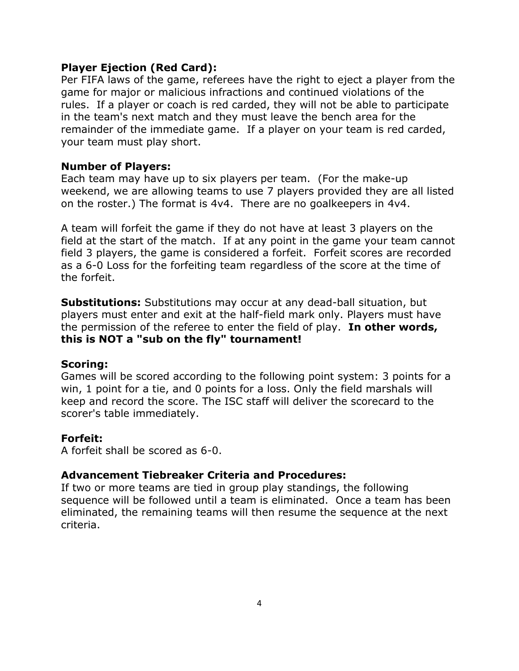### **Player Ejection (Red Card):**

Per FIFA laws of the game, referees have the right to eject a player from the game for major or malicious infractions and continued violations of the rules. If a player or coach is red carded, they will not be able to participate in the team's next match and they must leave the bench area for the remainder of the immediate game. If a player on your team is red carded, your team must play short.

## **Number of Players:**

Each team may have up to six players per team. (For the make-up weekend, we are allowing teams to use 7 players provided they are all listed on the roster.) The format is 4v4. There are no goalkeepers in 4v4.

A team will forfeit the game if they do not have at least 3 players on the field at the start of the match. If at any point in the game your team cannot field 3 players, the game is considered a forfeit. Forfeit scores are recorded as a 6-0 Loss for the forfeiting team regardless of the score at the time of the forfeit.

**Substitutions:** Substitutions may occur at any dead-ball situation, but players must enter and exit at the half-field mark only. Players must have the permission of the referee to enter the field of play. **In other words, this is NOT a "sub on the fly" tournament!**

## **Scoring:**

Games will be scored according to the following point system: 3 points for a win, 1 point for a tie, and 0 points for a loss. Only the field marshals will keep and record the score. The ISC staff will deliver the scorecard to the scorer's table immediately.

## **Forfeit:**

A forfeit shall be scored as 6-0.

## **Advancement Tiebreaker Criteria and Procedures:**

If two or more teams are tied in group play standings, the following sequence will be followed until a team is eliminated. Once a team has been eliminated, the remaining teams will then resume the sequence at the next criteria.